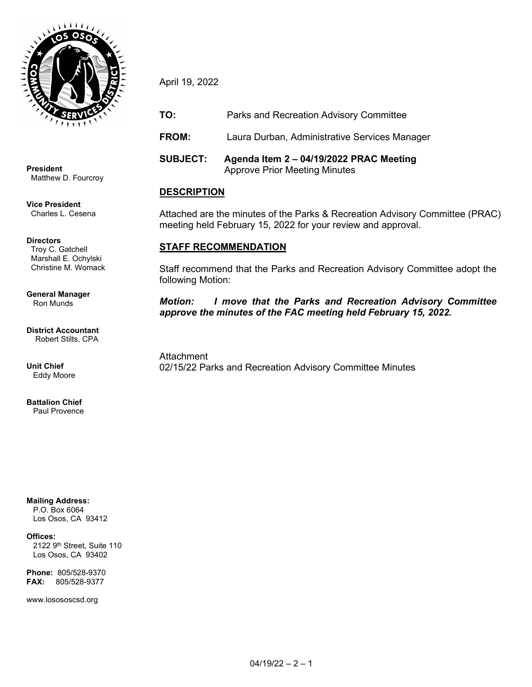

**President** Matthew D. Fourcroy

**Vice President** Charles L. Cesena

**Directors** Troy C. Gatchell Marshall E. Ochylski Christine M. Womack

**General Manager** Ron Munds

**District Accountant** Robert Stilts, CPA

**Unit Chief** Eddy Moore

**Battalion Chief** Paul Provence

**Mailing Address:**

 P.O. Box 6064 Los Osos, CA 93412

#### **Offices:**

2122 9<sup>th</sup> Street, Suite 110 Los Osos, CA 93402

**Phone:** 805/528-9370 **FAX:** 805/528-9377

www.losososcsd.org

April 19, 2022

**TO:** Parks and Recreation Advisory Committee

**FROM:** Laura Durban, Administrative Services Manager

**SUBJECT: Agenda Item 2 – 04/19/2022 PRAC Meeting**  Approve Prior Meeting Minutes

# **DESCRIPTION**

Attached are the minutes of the Parks & Recreation Advisory Committee (PRAC) meeting held February 15, 2022 for your review and approval.

## **STAFF RECOMMENDATION**

Staff recommend that the Parks and Recreation Advisory Committee adopt the following Motion:

*Motion: I move that the Parks and Recreation Advisory Committee approve the minutes of the FAC meeting held February 15, 2022.*

**Attachment** 02/15/22 Parks and Recreation Advisory Committee Minutes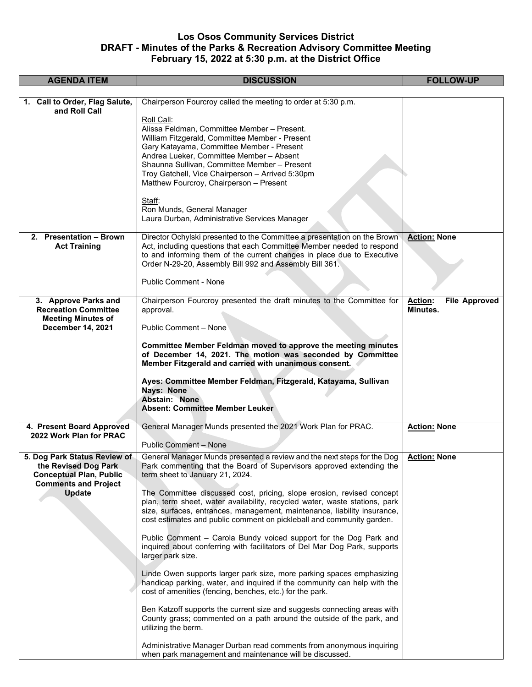### **Los Osos Community Services District DRAFT - Minutes of the Parks & Recreation Advisory Committee Meeting February 15, 2022 at 5:30 p.m. at the District Office**

| <b>AGENDA ITEM</b>                                                                                                                     | <b>DISCUSSION</b>                                                                                                                                                                                                                                                                                                                                                                                                                                                                              | <b>FOLLOW-UP</b>                       |
|----------------------------------------------------------------------------------------------------------------------------------------|------------------------------------------------------------------------------------------------------------------------------------------------------------------------------------------------------------------------------------------------------------------------------------------------------------------------------------------------------------------------------------------------------------------------------------------------------------------------------------------------|----------------------------------------|
|                                                                                                                                        |                                                                                                                                                                                                                                                                                                                                                                                                                                                                                                |                                        |
| 1. Call to Order, Flag Salute,<br>and Roll Call                                                                                        | Chairperson Fourcroy called the meeting to order at 5:30 p.m.                                                                                                                                                                                                                                                                                                                                                                                                                                  |                                        |
|                                                                                                                                        | Roll Call:<br>Alissa Feldman, Committee Member - Present.<br>William Fitzgerald, Committee Member - Present<br>Gary Katayama, Committee Member - Present<br>Andrea Lueker, Committee Member - Absent<br>Shaunna Sullivan, Committee Member - Present<br>Troy Gatchell, Vice Chairperson - Arrived 5:30pm<br>Matthew Fourcroy, Chairperson - Present                                                                                                                                            |                                        |
|                                                                                                                                        | Staff:<br>Ron Munds, General Manager<br>Laura Durban, Administrative Services Manager                                                                                                                                                                                                                                                                                                                                                                                                          |                                        |
| 2. Presentation - Brown<br><b>Act Training</b>                                                                                         | Director Ochylski presented to the Committee a presentation on the Brown<br>Act, including questions that each Committee Member needed to respond<br>to and informing them of the current changes in place due to Executive<br>Order N-29-20, Assembly Bill 992 and Assembly Bill 361.<br><b>Public Comment - None</b>                                                                                                                                                                         | <b>Action: None</b>                    |
| 3. Approve Parks and                                                                                                                   | Chairperson Fourcroy presented the draft minutes to the Committee for                                                                                                                                                                                                                                                                                                                                                                                                                          | <b>Action:</b><br><b>File Approved</b> |
| <b>Recreation Committee</b><br><b>Meeting Minutes of</b><br>December 14, 2021                                                          | approval.<br>Public Comment - None                                                                                                                                                                                                                                                                                                                                                                                                                                                             | Minutes.                               |
|                                                                                                                                        | Committee Member Feldman moved to approve the meeting minutes<br>of December 14, 2021. The motion was seconded by Committee<br>Member Fitzgerald and carried with unanimous consent.                                                                                                                                                                                                                                                                                                           |                                        |
|                                                                                                                                        | Ayes: Committee Member Feldman, Fitzgerald, Katayama, Sullivan<br><b>Nays: None</b><br>Abstain: None<br><b>Absent: Committee Member Leuker</b>                                                                                                                                                                                                                                                                                                                                                 |                                        |
|                                                                                                                                        |                                                                                                                                                                                                                                                                                                                                                                                                                                                                                                |                                        |
| 4. Present Board Approved<br>2022 Work Plan for PRAC                                                                                   | General Manager Munds presented the 2021 Work Plan for PRAC.<br>Public Comment - None                                                                                                                                                                                                                                                                                                                                                                                                          | <b>Action: None</b>                    |
| 5. Dog Park Status Review of<br>the Revised Dog Park<br><b>Conceptual Plan, Public</b><br><b>Comments and Project</b><br><b>Update</b> | General Manager Munds presented a review and the next steps for the Dog<br>Park commenting that the Board of Supervisors approved extending the<br>term sheet to January 21, 2024.<br>The Committee discussed cost, pricing, slope erosion, revised concept<br>plan, term sheet, water availability, recycled water, waste stations, park<br>size, surfaces, entrances, management, maintenance, liability insurance,<br>cost estimates and public comment on pickleball and community garden. | <b>Action: None</b>                    |
|                                                                                                                                        | Public Comment - Carola Bundy voiced support for the Dog Park and<br>inquired about conferring with facilitators of Del Mar Dog Park, supports<br>larger park size.                                                                                                                                                                                                                                                                                                                            |                                        |
|                                                                                                                                        | Linde Owen supports larger park size, more parking spaces emphasizing<br>handicap parking, water, and inquired if the community can help with the<br>cost of amenities (fencing, benches, etc.) for the park.                                                                                                                                                                                                                                                                                  |                                        |
|                                                                                                                                        | Ben Katzoff supports the current size and suggests connecting areas with<br>County grass; commented on a path around the outside of the park, and<br>utilizing the berm.                                                                                                                                                                                                                                                                                                                       |                                        |
|                                                                                                                                        | Administrative Manager Durban read comments from anonymous inquiring<br>when park management and maintenance will be discussed.                                                                                                                                                                                                                                                                                                                                                                |                                        |